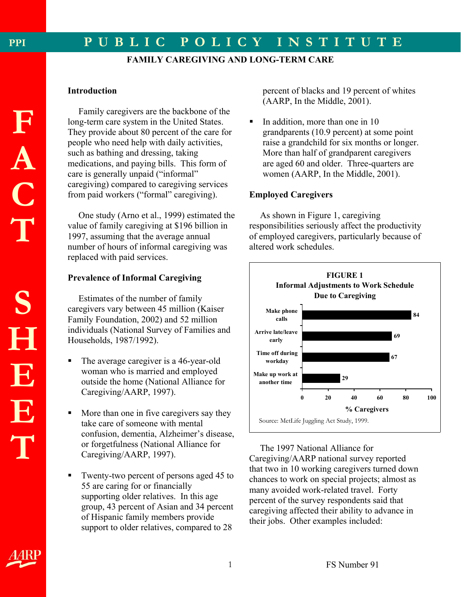## **FAMILY CAREGIVING AND LONG-TERM CARE**

### **Introduction**

Family caregivers are the backbone of the long-term care system in the United States. They provide about 80 percent of the care for people who need help with daily activities, such as bathing and dressing, taking medications, and paying bills. This form of care is generally unpaid ("informal" caregiving) compared to caregiving services from paid workers ("formal" caregiving).

 One study (Arno et al., 1999) estimated the value of family caregiving at \$196 billion in 1997, assuming that the average annual number of hours of informal caregiving was replaced with paid services.

## **Prevalence of Informal Caregiving**

 Estimates of the number of family caregivers vary between 45 million (Kaiser Family Foundation, 2002) and 52 million individuals (National Survey of Families and Households, 1987/1992).

- The average caregiver is a 46-year-old woman who is married and employed outside the home (National Alliance for Caregiving/AARP, 1997).
- More than one in five caregivers say they take care of someone with mental confusion, dementia, Alzheimer's disease, or forgetfulness (National Alliance for Caregiving/AARP, 1997).
- Twenty-two percent of persons aged 45 to 55 are caring for or financially supporting older relatives. In this age group, 43 percent of Asian and 34 percent of Hispanic family members provide support to older relatives, compared to 28

percent of blacks and 19 percent of whites (AARP, In the Middle, 2001).

 In addition, more than one in 10 grandparents (10.9 percent) at some point raise a grandchild for six months or longer. More than half of grandparent caregivers are aged 60 and older. Three-quarters are women (AARP, In the Middle, 2001).

# **Employed Caregivers**

 As shown in Figure 1, caregiving responsibilities seriously affect the productivity of employed caregivers, particularly because of altered work schedules.



The 1997 National Alliance for Caregiving/AARP national survey reported that two in 10 working caregivers turned down chances to work on special projects; almost as many avoided work-related travel. Forty percent of the survey respondents said that caregiving affected their ability to advance in their jobs. Other examples included: